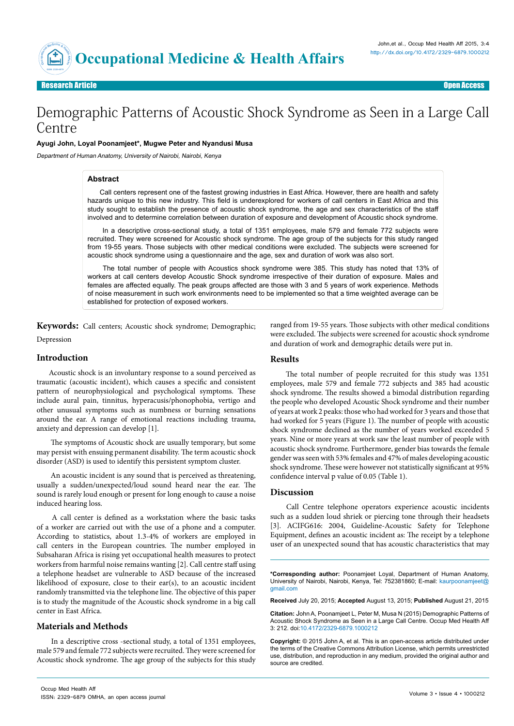**Research Article** 

Open Access

# Demographic Patterns of Acoustic Shock Syndrome as Seen in a Large Call Centre

#### **Ayugi John, Loyal Poonamjeet\*, Mugwe Peter and Nyandusi Musa**

Department of Human Anatomy, University of Nairobi, Nairobi, Kenya

#### **Abstract**

Call centers represent one of the fastest growing industries in East Africa. However, there are health and safety hazards unique to this new industry. This field is underexplored for workers of call centers in East Africa and this study sought to establish the presence of acoustic shock syndrome, the age and sex characteristics of the staff involved and to determine correlation between duration of exposure and development of Acoustic shock syndrome.

In a descriptive cross-sectional study, a total of 1351 employees, male 579 and female 772 subjects were recruited. They were screened for Acoustic shock syndrome. The age group of the subjects for this study ranged from 19-55 years. Those subjects with other medical conditions were excluded. The subjects were screened for acoustic shock syndrome using a questionnaire and the age, sex and duration of work was also sort.

 The total number of people with Acoustics shock syndrome were 385. This study has noted that 13% of workers at call centers develop Acoustic Shock syndrome irrespective of their duration of exposure. Males and females are affected equally. The peak groups affected are those with 3 and 5 years of work experience. Methods of noise measurement in such work environments need to be implemented so that a time weighted average can be established for protection of exposed workers.

**Keywords:** Call centers; Acoustic shock syndrome; Demographic; Depression

#### **Introduction**

Acoustic shock is an involuntary response to a sound perceived as traumatic (acoustic incident), which causes a specific and consistent pattern of neurophysiological and psychological symptoms. These include aural pain, tinnitus, hyperacusis/phonophobia, vertigo and other unusual symptoms such as numbness or burning sensations around the ear. A range of emotional reactions including trauma, anxiety and depression can develop [1].

 The symptoms of Acoustic shock are usually temporary, but some may persist with ensuing permanent disability. The term acoustic shock disorder (ASD) is used to identify this persistent symptom cluster.

 An acoustic incident is any sound that is perceived as threatening, usually a sudden/unexpected/loud sound heard near the ear. The sound is rarely loud enough or present for long enough to cause a noise induced hearing loss.

 A call center is defined as a workstation where the basic tasks of a worker are carried out with the use of a phone and a computer. According to statistics, about 1.3-4% of workers are employed in call centers in the European countries. The number employed in Subsaharan Africa is rising yet occupational health measures to protect workers from harmful noise remains wanting [2]. Call centre staff using a telephone headset are vulnerable to ASD because of the increased likelihood of exposure, close to their ear(s), to an acoustic incident randomly transmitted via the telephone line. The objective of this paper is to study the magnitude of the Acoustic shock syndrome in a big call center in East Africa.

#### **Materials and Methods**

 In a descriptive cross -sectional study, a total of 1351 employees, male 579 and female 772 subjects were recruited. They were screened for Acoustic shock syndrome. The age group of the subjects for this study

ranged from 19-55 years. Those subjects with other medical conditions were excluded. The subjects were screened for acoustic shock syndrome and duration of work and demographic details were put in.

#### **Results**

 The total number of people recruited for this study was 1351 employees, male 579 and female 772 subjects and 385 had acoustic shock syndrome. The results showed a bimodal distribution regarding the people who developed Acoustic Shock syndrome and their number of years at work 2 peaks: those who had worked for 3 years and those that had worked for 5 years (Figure 1). The number of people with acoustic shock syndrome declined as the number of years worked exceeded 5 years. Nine or more years at work saw the least number of people with acoustic shock syndrome. Furthermore, gender bias towards the female gender was seen with 53% females and 47% of males developing acoustic shock syndrome. These were however not statistically significant at 95% confidence interval p value of 0.05 (Table 1).

#### **Discussion**

 Call Centre telephone operators experience acoustic incidents such as a sudden loud shriek or piercing tone through their headsets [3]. ACIFG616: 2004, Guideline-Acoustic Safety for Telephone Equipment, defines an acoustic incident as: The receipt by a telephone user of an unexpected sound that has acoustic characteristics that may

**\*Corresponding author:** Poonamjeet Loyal, Department of Human Anatomy, University of Nairobi, Nairobi, Kenya, Tel: 752381860; E-mail: kaurpoonamjeet@ gmail.com

**Received** July 20, 2015; **Accepted** August 13, 2015; **Published** August 21, 2015

**Citation:** John A, Poonamjeet L, Peter M, Musa N (2015) Demographic Patterns of Acoustic Shock Syndrome as Seen in a Large Call Centre. Occup Med Health Aff 3: 212. doi:[10.4172/2329-6879.100021](http://dx.doi.org/10.4172/2329-6879.1000212)2

**Copyright:** © 2015 John A, et al. This is an open-access article distributed under the terms of the Creative Commons Attribution License, which permits unrestricted use, distribution, and reproduction in any medium, provided the original author and source are credited.